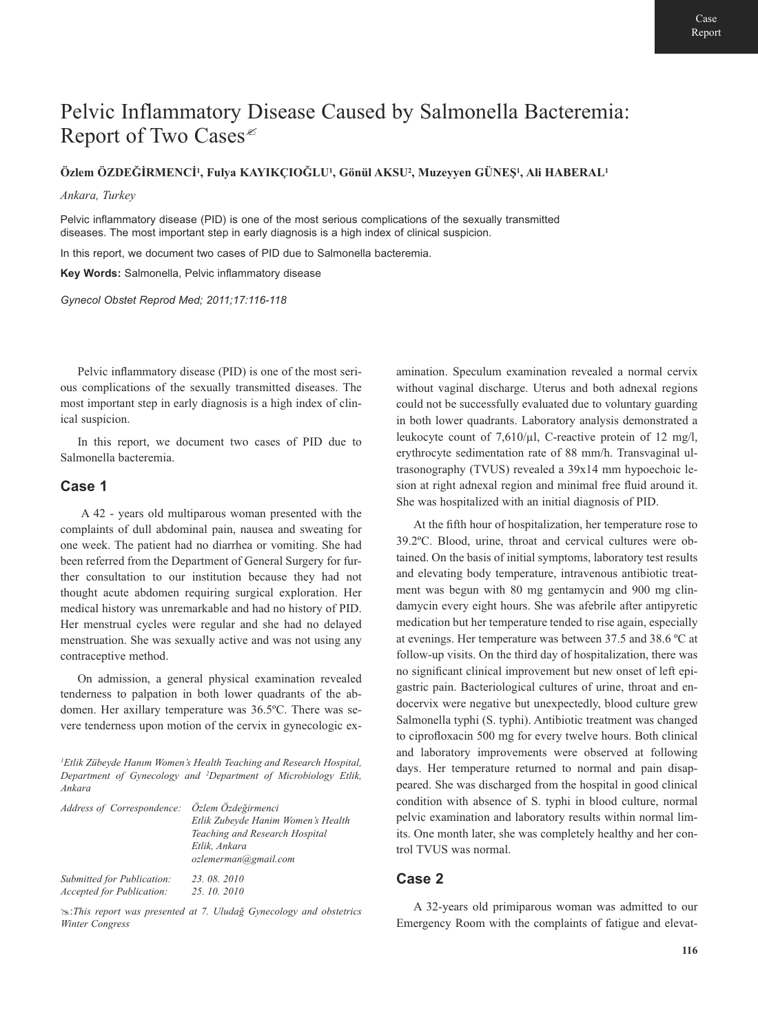# Pelvic Inflammatory Disease Caused by Salmonella Bacteremia: Report of Two Cases<sup> $\epsilon$ </sup>

## **Özlem ÖZDEĞİRMENCİ1 , Fulya KAYIKÇIOĞLU<sup>1</sup> , Gönül AKSU<sup>2</sup> , Muzeyyen GÜNEŞ<sup>1</sup> , Ali HABERAL<sup>1</sup>**

#### *Ankara, Turkey*

Pelvic inflammatory disease (PID) is one of the most serious complications of the sexually transmitted diseases. The most important step in early diagnosis is a high index of clinical suspicion.

In this report, we document two cases of PID due to Salmonella bacteremia.

**Key Words:** Salmonella, Pelvic inflammatory disease

*Gynecol Obstet Reprod Med; 2011;17:116-118*

Pelvic inflammatory disease (PID) is one of the most serious complications of the sexually transmitted diseases. The most important step in early diagnosis is a high index of clinical suspicion.

In this report, we document two cases of PID due to Salmonella bacteremia.

### **Case 1**

A 42 - years old multiparous woman presented with the complaints of dull abdominal pain, nausea and sweating for one week. The patient had no diarrhea or vomiting. She had been referred from the Department of General Surgery for further consultation to our institution because they had not thought acute abdomen requiring surgical exploration. Her medical history was unremarkable and had no history of PID. Her menstrual cycles were regular and she had no delayed menstruation. She was sexually active and was not using any contraceptive method.

On admission, a general physical examination revealed tenderness to palpation in both lower quadrants of the abdomen. Her axillary temperature was 36.5ºC. There was severe tenderness upon motion of the cervix in gynecologic ex-

*1 Etlik Zübeyde Hanım Women's Health Teaching and Research Hospital, Department of Gynecology and 2 Department of Microbiology Etlik, Ankara* 

| Address of Correspondence: Özlem Özdeğirmenci |                                    |
|-----------------------------------------------|------------------------------------|
|                                               | Etlik Zubeyde Hanim Women's Health |
|                                               | Teaching and Research Hospital     |
|                                               | Etlik, Ankara                      |
|                                               | ozlemerman@gmail.com               |
| Submitted for Publication:                    | 23.08.2010                         |
| <b>Accepted for Publication:</b>              | 25, 10, 2010                       |

:*This report was presented at 7. Uludağ Gynecology and obstetrics Winter Congress*

amination. Speculum examination revealed a normal cervix without vaginal discharge. Uterus and both adnexal regions could not be successfully evaluated due to voluntary guarding in both lower quadrants. Laboratory analysis demonstrated a leukocyte count of  $7.610/\mu$ l, C-reactive protein of 12 mg/l, erythrocyte sedimentation rate of 88 mm/h. Transvaginal ultrasonography (TVUS) revealed a 39x14 mm hypoechoic lesion at right adnexal region and minimal free fluid around it. She was hospitalized with an initial diagnosis of PID.

At the fifth hour of hospitalization, her temperature rose to 39.2ºC. Blood, urine, throat and cervical cultures were obtained. On the basis of initial symptoms, laboratory test results and elevating body temperature, intravenous antibiotic treatment was begun with 80 mg gentamycin and 900 mg clindamycin every eight hours. She was afebrile after antipyretic medication but her temperature tended to rise again, especially at evenings. Her temperature was between 37.5 and 38.6 ºC at follow-up visits. On the third day of hospitalization, there was no significant clinical improvement but new onset of left epigastric pain. Bacteriological cultures of urine, throat and endocervix were negative but unexpectedly, blood culture grew Salmonella typhi (S. typhi). Antibiotic treatment was changed to ciprofloxacin 500 mg for every twelve hours. Both clinical and laboratory improvements were observed at following days. Her temperature returned to normal and pain disappeared. She was discharged from the hospital in good clinical condition with absence of S. typhi in blood culture, normal pelvic examination and laboratory results within normal limits. One month later, she was completely healthy and her control TVUS was normal.

## **Case 2**

A 32-years old primiparous woman was admitted to our Emergency Room with the complaints of fatigue and elevat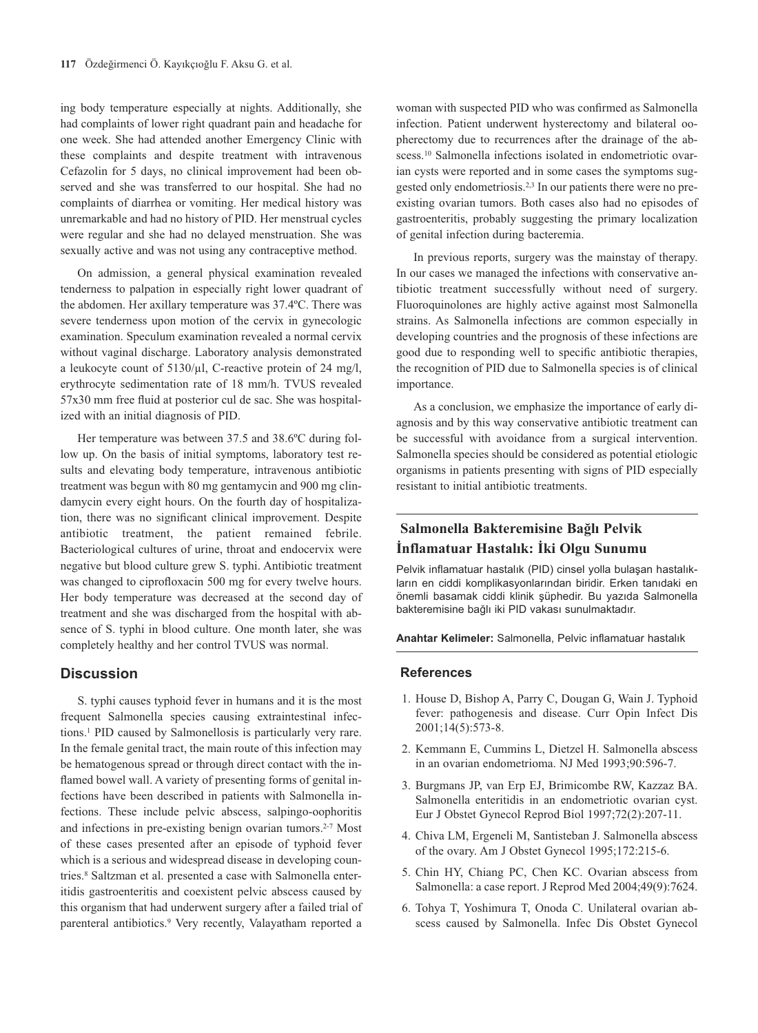ing body temperature especially at nights. Additionally, she had complaints of lower right quadrant pain and headache for one week. She had attended another Emergency Clinic with these complaints and despite treatment with intravenous Cefazolin for 5 days, no clinical improvement had been observed and she was transferred to our hospital. She had no complaints of diarrhea or vomiting. Her medical history was unremarkable and had no history of PID. Her menstrual cycles were regular and she had no delayed menstruation. She was sexually active and was not using any contraceptive method.

On admission, a general physical examination revealed tenderness to palpation in especially right lower quadrant of the abdomen. Her axillary temperature was 37.4ºC. There was severe tenderness upon motion of the cervix in gynecologic examination. Speculum examination revealed a normal cervix without vaginal discharge. Laboratory analysis demonstrated a leukocyte count of 5130/µl, C-reactive protein of 24 mg/l, erythrocyte sedimentation rate of 18 mm/h. TVUS revealed 57x30 mm free fluid at posterior cul de sac. She was hospitalized with an initial diagnosis of PID.

Her temperature was between 37.5 and 38.6ºC during follow up. On the basis of initial symptoms, laboratory test results and elevating body temperature, intravenous antibiotic treatment was begun with 80 mg gentamycin and 900 mg clindamycin every eight hours. On the fourth day of hospitalization, there was no significant clinical improvement. Despite antibiotic treatment, the patient remained febrile. Bacteriological cultures of urine, throat and endocervix were negative but blood culture grew S. typhi. Antibiotic treatment was changed to ciprofloxacin 500 mg for every twelve hours. Her body temperature was decreased at the second day of treatment and she was discharged from the hospital with absence of S. typhi in blood culture. One month later, she was completely healthy and her control TVUS was normal.

#### **Discussion**

S. typhi causes typhoid fever in humans and it is the most frequent Salmonella species causing extraintestinal infections.1 PID caused by Salmonellosis is particularly very rare. In the female genital tract, the main route of this infection may be hematogenous spread or through direct contact with the inflamed bowel wall. A variety of presenting forms of genital infections have been described in patients with Salmonella infections. These include pelvic abscess, salpingo-oophoritis and infections in pre-existing benign ovarian tumors.<sup>2-7</sup> Most of these cases presented after an episode of typhoid fever which is a serious and widespread disease in developing countries.8 Saltzman et al. presented a case with Salmonella enteritidis gastroenteritis and coexistent pelvic abscess caused by this organism that had underwent surgery after a failed trial of parenteral antibiotics.<sup>9</sup> Very recently, Valayatham reported a

woman with suspected PID who was confirmed as Salmonella infection. Patient underwent hysterectomy and bilateral oopherectomy due to recurrences after the drainage of the abscess.<sup>10</sup> Salmonella infections isolated in endometriotic ovarian cysts were reported and in some cases the symptoms suggested only endometriosis.2,3 In our patients there were no preexisting ovarian tumors. Both cases also had no episodes of gastroenteritis, probably suggesting the primary localization of genital infection during bacteremia.

In previous reports, surgery was the mainstay of therapy. In our cases we managed the infections with conservative antibiotic treatment successfully without need of surgery. Fluoroquinolones are highly active against most Salmonella strains. As Salmonella infections are common especially in developing countries and the prognosis of these infections are good due to responding well to specific antibiotic therapies, the recognition of PID due to Salmonella species is of clinical importance.

As a conclusion, we emphasize the importance of early diagnosis and by this way conservative antibiotic treatment can be successful with avoidance from a surgical intervention. Salmonella species should be considered as potential etiologic organisms in patients presenting with signs of PID especially resistant to initial antibiotic treatments.

# **Salmonella Bakteremisine Bağlı Pelvik**

**Inflamatuar hastalık (PID) cinsel yolla bulaşan hastalık-**<br>Pelvik inflamatuar hastalık (PID) cinsel yolla bulaşan hastalıkların en ciddi komplikasyonlarından biridir. Erken tanıdaki en önemli basamak ciddi klinik şüphedir. Bu yazıda Salmonella bakteremisine bağlı iki PID vakası sunulmaktadır.

**Anahtar Kelimeler:** Salmonella, Pelvic inflamatuar hastalık

#### **References**

- 1. House D, Bishop A, Parry C, Dougan G, Wain J. Typhoid fever: pathogenesis and disease. Curr Opin Infect Dis 2001;14(5):573-8.
- 2. Kemmann E, Cummins L, Dietzel H. Salmonella abscess in an ovarian endometrioma. NJ Med 1993;90:596-7.
- 3. Burgmans JP, van Erp EJ, Brimicombe RW, Kazzaz BA. Salmonella enteritidis in an endometriotic ovarian cyst. Eur J Obstet Gynecol Reprod Biol 1997;72(2):207-11.
- 4. Chiva LM, Ergeneli M, Santisteban J. Salmonella abscess of the ovary. Am J Obstet Gynecol 1995;172:215-6.
- 5. Chin HY, Chiang PC, Chen KC. Ovarian abscess from Salmonella: a case report. J Reprod Med 2004;49(9):7624.
- 6. Tohya T, Yoshimura T, Onoda C. Unilateral ovarian abscess caused by Salmonella. Infec Dis Obstet Gynecol